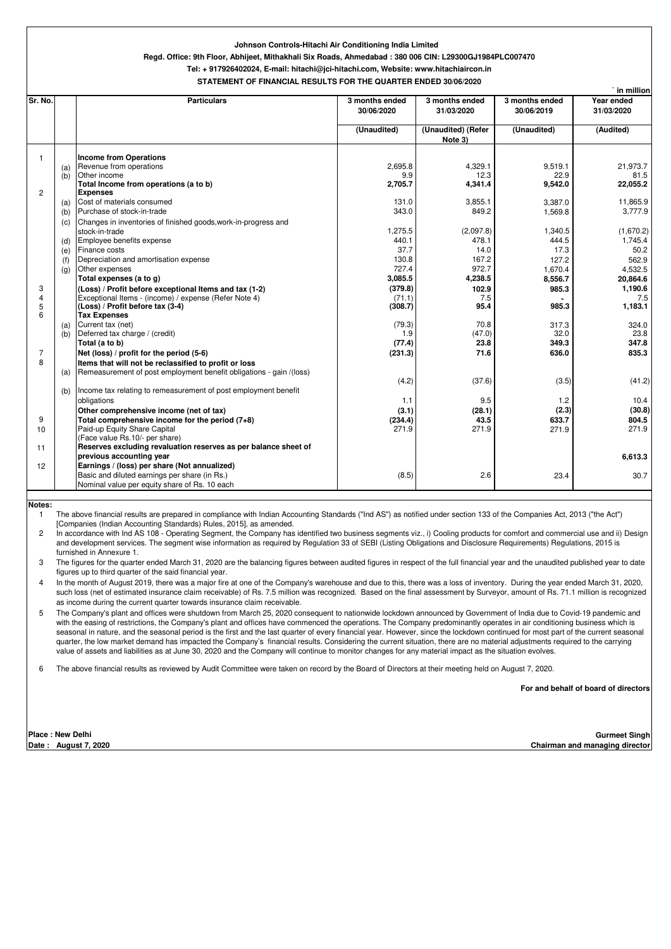|                         |     |                                                                     |                              |                               | in million                   |                          |
|-------------------------|-----|---------------------------------------------------------------------|------------------------------|-------------------------------|------------------------------|--------------------------|
| Sr. No.                 |     | <b>Particulars</b>                                                  | 3 months ended<br>30/06/2020 | 3 months ended<br>31/03/2020  | 3 months ended<br>30/06/2019 | Year ended<br>31/03/2020 |
|                         |     |                                                                     | (Unaudited)                  | (Unaudited) (Refer<br>Note 3) | (Unaudited)                  | (Audited)                |
| $\overline{\mathbf{1}}$ |     | <b>Income from Operations</b>                                       |                              |                               |                              |                          |
|                         | (a) | Revenue from operations                                             | 2,695.8                      | 4,329.1                       | 9,519.1                      | 21,973.7                 |
|                         | (b) | Other income                                                        | 9.9                          | 12.3                          | 22.9                         | 81.5                     |
|                         |     | Total Income from operations (a to b)                               | 2,705.7                      | 4,341.4                       | 9,542.0                      | 22,055.2                 |
| $\overline{c}$          |     | <b>Expenses</b>                                                     |                              |                               |                              |                          |
|                         | (a) | Cost of materials consumed                                          | 131.0                        | 3,855.1                       | 3,387.0                      | 11,865.9                 |
|                         | (b) | Purchase of stock-in-trade                                          | 343.0                        | 849.2                         | 1,569.8                      | 3,777.9                  |
|                         | (c) | Changes in inventories of finished goods, work-in-progress and      |                              |                               |                              |                          |
|                         |     | stock-in-trade                                                      | 1,275.5                      | (2,097.8)                     | 1,340.5                      | (1,670.2)                |
|                         | (d) | Employee benefits expense                                           | 440.1                        | 478.1                         | 444.5                        | 1,745.4                  |
|                         | (e) | Finance costs                                                       | 37.7                         | 14.0                          | 17.3                         | 50.2                     |
|                         | (f) | Depreciation and amortisation expense                               | 130.8                        | 167.2                         | 127.2                        | 562.9                    |
|                         | (q) | Other expenses                                                      | 727.4                        | 972.7                         | 1,670.4                      | 4,532.5                  |
|                         |     | Total expenses (a to g)                                             | 3,085.5                      | 4,238.5                       | 8,556.7                      | 20,864.6                 |
| 3                       |     | (Loss) / Profit before exceptional Items and tax (1-2)              | (379.8)                      | 102.9                         | 985.3                        | 1,190.6                  |
| 4                       |     | Exceptional Items - (income) / expense (Refer Note 4)               | (71.1)                       | 7.5                           |                              | 7.5                      |
| 5                       |     | (Loss) / Profit before tax (3-4)                                    | (308.7)                      | 95.4                          | 985.3                        | 1,183.1                  |
| 6                       |     | <b>Tax Expenses</b>                                                 |                              |                               |                              |                          |
|                         | (a) | Current tax (net)                                                   | (79.3)                       | 70.8                          | 317.3                        | 324.0                    |
|                         | (b) | Deferred tax charge / (credit)                                      | 1.9                          | (47.0)                        | 32.0                         | 23.8                     |
|                         |     | Total (a to b)                                                      | (77.4)                       | 23.8                          | 349.3                        | 347.8                    |
| $\overline{7}$          |     | Net (loss) / profit for the period (5-6)                            | (231.3)                      | 71.6                          | 636.0                        | 835.3                    |
| 8                       |     | Items that will not be reclassified to profit or loss               |                              |                               |                              |                          |
|                         | (a) | Remeasurement of post employment benefit obligations - gain /(loss) |                              |                               |                              |                          |
|                         |     |                                                                     | (4.2)                        | (37.6)                        | (3.5)                        | (41.2)                   |
|                         | (b) | Income tax relating to remeasurement of post employment benefit     |                              |                               |                              |                          |
|                         |     | obligations                                                         | 1.1                          | 9.5                           | 1.2                          | 10.4                     |
|                         |     | Other comprehensive income (net of tax)                             | (3.1)                        | (28.1)                        | (2.3)                        | (30.8)                   |
| 9                       |     | Total comprehensive income for the period (7+8)                     | (234.4)                      | 43.5                          | 633.7                        | 804.5                    |
| 10                      |     | Paid-up Equity Share Capital                                        | 271.9                        | 271.9                         | 271.9                        | 271.9                    |
|                         |     | (Face value Rs.10/- per share)                                      |                              |                               |                              |                          |
| 11                      |     | Reserves excluding revaluation reserves as per balance sheet of     |                              |                               |                              |                          |
|                         |     | previous accounting year                                            |                              |                               |                              | 6,613.3                  |
| 12                      |     | Earnings / (loss) per share (Not annualized)                        |                              |                               |                              |                          |
|                         |     | Basic and diluted earnings per share (in Rs.)                       | (8.5)                        | 2.6                           | 23.4                         | 30.7                     |
|                         |     | Nominal value per equity share of Rs. 10 each                       |                              |                               |                              |                          |
|                         |     |                                                                     |                              |                               |                              |                          |

## **Notes:**

## **Johnson Controls-Hitachi Air Conditioning India Limited**

## **Regd. Office: 9th Floor, Abhijeet, Mithakhali Six Roads, Ahmedabad : 380 006 CIN: L29300GJ1984PLC007470**

**Tel: + 917926402024, E-mail: hitachi@jci-hitachi.com, Website: www.hitachiaircon.in**

**STATEMENT OF FINANCIAL RESULTS FOR THE QUARTER ENDED 30/06/2020**

4 In the month of August 2019, there was a major fire at one of the Company's warehouse and due to this, there was a loss of inventory. During the year ended March 31, 2020, such loss (net of estimated insurance claim receivable) of Rs. 7.5 million was recognized. Based on the final assessment by Surveyor, amount of Rs. 71.1 million is recognized as income during the current quarter towards insurance claim receivable.

1 The above financial results are prepared in compliance with Indian Accounting Standards ("Ind AS") as notified under section 133 of the Companies Act, 2013 ("the Act") [Companies (Indian Accounting Standards) Rules, 2015], as amended.

2 In accordance with Ind AS 108 - Operating Segment, the Company has identified two business segments viz., i) Cooling products for comfort and commercial use and ii) Design and development services. The segment wise information as required by Regulation 33 of SEBI (Listing Obligations and Disclosure Requirements) Regulations, 2015 is furnished in Annexure 1.

6 The above financial results as reviewed by Audit Committee were taken on record by the Board of Directors at their meeting held on August 7, 2020.

| <b>Place: New Delhi</b> |  |  |
|-------------------------|--|--|
|-------------------------|--|--|

**Date : August 7, 2020** 

3 The figures for the quarter ended March 31, 2020 are the balancing figures between audited figures in respect of the full financial year and the unaudited published year to date figures up to third quarter of the said financial year.

5 The Company's plant and offices were shutdown from March 25, 2020 consequent to nationwide lockdown announced by Government of India due to Covid-19 pandemic and with the easing of restrictions, the Company's plant and offices have commenced the operations. The Company predominantly operates in air conditioning business which is seasonal in nature, and the seasonal period is the first and the last quarter of every financial year. However, since the lockdown continued for most part of the current seasonal quarter, the low market demand has impacted the Company's financial results. Considering the current situation, there are no material adjustments required to the carrying value of assets and liabilities as at June 30, 2020 and the Company will continue to monitor changes for any material impact as the situation evolves.